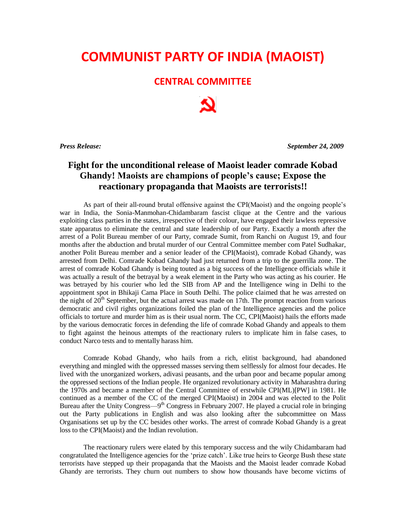## **COMMUNIST PARTY OF INDIA (MAOIST)**

## **CENTRAL COMMITTEE**

*Press Release: September 24, 2009*

## **Fight for the unconditional release of Maoist leader comrade Kobad Ghandy! Maoists are champions of people's cause; Expose the reactionary propaganda that Maoists are terrorists!!**

As part of their all-round brutal offensive against the CPI(Maoist) and the ongoing people's war in India, the Sonia-Manmohan-Chidambaram fascist clique at the Centre and the various exploiting class parties in the states, irrespective of their colour, have engaged their lawless repressive state apparatus to eliminate the central and state leadership of our Party. Exactly a month after the arrest of a Polit Bureau member of our Party, comrade Sumit, from Ranchi on August 19, and four months after the abduction and brutal murder of our Central Committee member com Patel Sudhakar, another Polit Bureau member and a senior leader of the CPI(Maoist), comrade Kobad Ghandy, was arrested from Delhi. Comrade Kobad Ghandy had just returned from a trip to the guerrilla zone. The arrest of comrade Kobad Ghandy is being touted as a big success of the Intelligence officials while it was actually a result of the betrayal by a weak element in the Party who was acting as his courier. He was betrayed by his courier who led the SIB from AP and the Intelligence wing in Delhi to the appointment spot in Bhikaji Cama Place in South Delhi. The police claimed that he was arrested on the night of  $20<sup>th</sup>$  September, but the actual arrest was made on 17th. The prompt reaction from various democratic and civil rights organizations foiled the plan of the Intelligence agencies and the police officials to torture and murder him as is their usual norm. The CC, CPI(Maoist) hails the efforts made by the various democratic forces in defending the life of comrade Kobad Ghandy and appeals to them to fight against the heinous attempts of the reactionary rulers to implicate him in false cases, to conduct Narco tests and to mentally harass him.

Comrade Kobad Ghandy, who hails from a rich, elitist background, had abandoned everything and mingled with the oppressed masses serving them selflessly for almost four decades. He lived with the unorganized workers, adivasi peasants, and the urban poor and became popular among the oppressed sections of the Indian people. He organized revolutionary activity in Maharashtra during the 1970s and became a member of the Central Committee of erstwhile CPI(ML)[PW] in 1981. He continued as a member of the CC of the merged CPI(Maoist) in 2004 and was elected to the Polit Bureau after the Unity Congress—9<sup>th</sup> Congress in February 2007. He played a crucial role in bringing out the Party publications in English and was also looking after the subcommittee on Mass Organisations set up by the CC besides other works. The arrest of comrade Kobad Ghandy is a great loss to the CPI(Maoist) and the Indian revolution.

The reactionary rulers were elated by this temporary success and the wily Chidambaram had congratulated the Intelligence agencies for the 'prize catch'. Like true heirs to George Bush these state terrorists have stepped up their propaganda that the Maoists and the Maoist leader comrade Kobad Ghandy are terrorists. They churn out numbers to show how thousands have become victims of